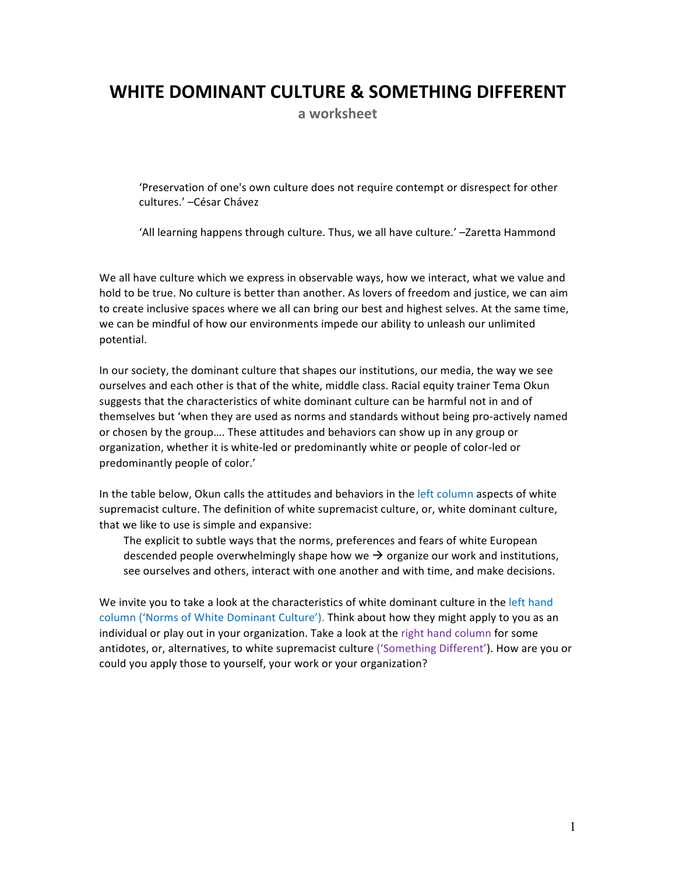## WHITE DOMINANT CULTURE & SOMETHING DIFFERENT

a worksheet

'Preservation of one's own culture does not require contempt or disrespect for other cultures.' - César Chávez

'All learning happens through culture. Thus, we all have culture.' -Zaretta Hammond

We all have culture which we express in observable ways, how we interact, what we value and hold to be true. No culture is better than another. As lovers of freedom and justice, we can aim to create inclusive spaces where we all can bring our best and highest selves. At the same time, we can be mindful of how our environments impede our ability to unleash our unlimited potential.

In our society, the dominant culture that shapes our institutions, our media, the way we see ourselves and each other is that of the white, middle class. Racial equity trainer Tema Okun suggests that the characteristics of white dominant culture can be harmful not in and of themselves but 'when they are used as norms and standards without being pro-actively named or chosen by the group.... These attitudes and behaviors can show up in any group or organization, whether it is white-led or predominantly white or people of color-led or predominantly people of color.'

In the table below, Okun calls the attitudes and behaviors in the left column aspects of white supremacist culture. The definition of white supremacist culture, or, white dominant culture, that we like to use is simple and expansive:

The explicit to subtle ways that the norms, preferences and fears of white European descended people overwhelmingly shape how we  $\rightarrow$  organize our work and institutions, see ourselves and others, interact with one another and with time, and make decisions.

We invite you to take a look at the characteristics of white dominant culture in the left hand column ('Norms of White Dominant Culture'). Think about how they might apply to you as an individual or play out in your organization. Take a look at the right hand column for some antidotes, or, alternatives, to white supremacist culture ('Something Different'). How are you or could you apply those to yourself, your work or your organization?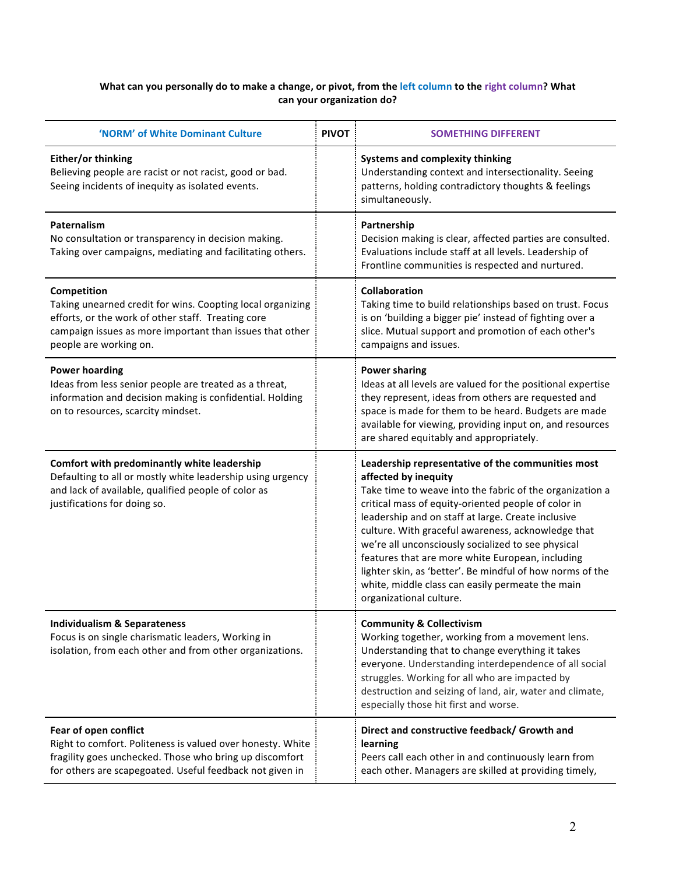## What can you personally do to make a change, or pivot, from the left column to the right column? What can your organization do?

| 'NORM' of White Dominant Culture                                                                                                                                                                                      | <b>PIVOT</b> | <b>SOMETHING DIFFERENT</b>                                                                                                                                                                                                                                                                                                                                                                                                                                                                                                                                     |
|-----------------------------------------------------------------------------------------------------------------------------------------------------------------------------------------------------------------------|--------------|----------------------------------------------------------------------------------------------------------------------------------------------------------------------------------------------------------------------------------------------------------------------------------------------------------------------------------------------------------------------------------------------------------------------------------------------------------------------------------------------------------------------------------------------------------------|
| Either/or thinking<br>Believing people are racist or not racist, good or bad.<br>Seeing incidents of inequity as isolated events.                                                                                     |              | <b>Systems and complexity thinking</b><br>Understanding context and intersectionality. Seeing<br>patterns, holding contradictory thoughts & feelings<br>simultaneously.                                                                                                                                                                                                                                                                                                                                                                                        |
| Paternalism<br>No consultation or transparency in decision making.<br>Taking over campaigns, mediating and facilitating others.                                                                                       |              | Partnership<br>Decision making is clear, affected parties are consulted.<br>Evaluations include staff at all levels. Leadership of<br>Frontline communities is respected and nurtured.                                                                                                                                                                                                                                                                                                                                                                         |
| Competition<br>Taking unearned credit for wins. Coopting local organizing<br>efforts, or the work of other staff. Treating core<br>campaign issues as more important than issues that other<br>people are working on. |              | <b>Collaboration</b><br>Taking time to build relationships based on trust. Focus<br>is on 'building a bigger pie' instead of fighting over a<br>slice. Mutual support and promotion of each other's<br>campaigns and issues.                                                                                                                                                                                                                                                                                                                                   |
| <b>Power hoarding</b><br>Ideas from less senior people are treated as a threat,<br>information and decision making is confidential. Holding<br>on to resources, scarcity mindset.                                     |              | <b>Power sharing</b><br>Ideas at all levels are valued for the positional expertise<br>they represent, ideas from others are requested and<br>space is made for them to be heard. Budgets are made<br>available for viewing, providing input on, and resources<br>are shared equitably and appropriately.                                                                                                                                                                                                                                                      |
| Comfort with predominantly white leadership<br>Defaulting to all or mostly white leadership using urgency<br>and lack of available, qualified people of color as<br>justifications for doing so.                      |              | Leadership representative of the communities most<br>affected by inequity<br>Take time to weave into the fabric of the organization a<br>critical mass of equity-oriented people of color in<br>leadership and on staff at large. Create inclusive<br>culture. With graceful awareness, acknowledge that<br>we're all unconsciously socialized to see physical<br>features that are more white European, including<br>lighter skin, as 'better'. Be mindful of how norms of the<br>white, middle class can easily permeate the main<br>organizational culture. |
| <b>Individualism &amp; Separateness</b><br>Focus is on single charismatic leaders, Working in<br>isolation, from each other and from other organizations.                                                             |              | <b>Community &amp; Collectivism</b><br>Working together, working from a movement lens.<br>Understanding that to change everything it takes<br>everyone. Understanding interdependence of all social<br>struggles. Working for all who are impacted by<br>destruction and seizing of land, air, water and climate,<br>especially those hit first and worse.                                                                                                                                                                                                     |
| Fear of open conflict<br>Right to comfort. Politeness is valued over honesty. White<br>fragility goes unchecked. Those who bring up discomfort<br>for others are scapegoated. Useful feedback not given in            |              | Direct and constructive feedback/ Growth and<br>learning<br>Peers call each other in and continuously learn from<br>each other. Managers are skilled at providing timely,                                                                                                                                                                                                                                                                                                                                                                                      |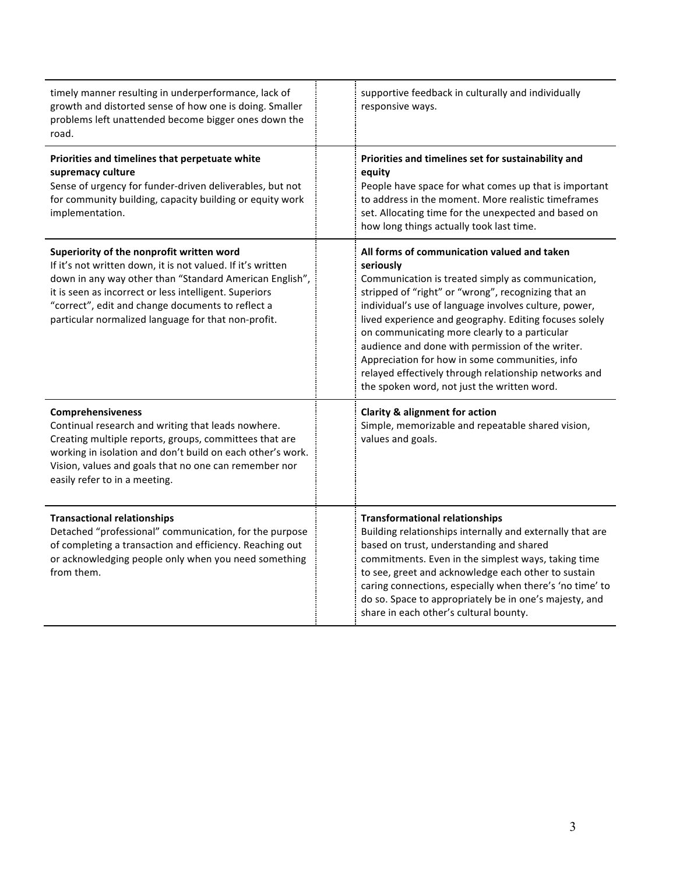| timely manner resulting in underperformance, lack of<br>growth and distorted sense of how one is doing. Smaller<br>problems left unattended become bigger ones down the<br>road.                                                                                                                                                          | supportive feedback in culturally and individually<br>responsive ways.                                                                                                                                                                                                                                                                                                                                                                                                                                                                                 |
|-------------------------------------------------------------------------------------------------------------------------------------------------------------------------------------------------------------------------------------------------------------------------------------------------------------------------------------------|--------------------------------------------------------------------------------------------------------------------------------------------------------------------------------------------------------------------------------------------------------------------------------------------------------------------------------------------------------------------------------------------------------------------------------------------------------------------------------------------------------------------------------------------------------|
| Priorities and timelines that perpetuate white<br>supremacy culture<br>Sense of urgency for funder-driven deliverables, but not<br>for community building, capacity building or equity work<br>implementation.                                                                                                                            | Priorities and timelines set for sustainability and<br>equity<br>People have space for what comes up that is important<br>to address in the moment. More realistic timeframes<br>set. Allocating time for the unexpected and based on<br>how long things actually took last time.                                                                                                                                                                                                                                                                      |
| Superiority of the nonprofit written word<br>If it's not written down, it is not valued. If it's written<br>down in any way other than "Standard American English",<br>it is seen as incorrect or less intelligent. Superiors<br>"correct", edit and change documents to reflect a<br>particular normalized language for that non-profit. | All forms of communication valued and taken<br>seriously<br>Communication is treated simply as communication,<br>stripped of "right" or "wrong", recognizing that an<br>individual's use of language involves culture, power,<br>lived experience and geography. Editing focuses solely<br>on communicating more clearly to a particular<br>audience and done with permission of the writer.<br>Appreciation for how in some communities, info<br>relayed effectively through relationship networks and<br>the spoken word, not just the written word. |
| Comprehensiveness<br>Continual research and writing that leads nowhere.<br>Creating multiple reports, groups, committees that are<br>working in isolation and don't build on each other's work.<br>Vision, values and goals that no one can remember nor<br>easily refer to in a meeting.                                                 | <b>Clarity &amp; alignment for action</b><br>Simple, memorizable and repeatable shared vision,<br>values and goals.                                                                                                                                                                                                                                                                                                                                                                                                                                    |
| <b>Transactional relationships</b><br>Detached "professional" communication, for the purpose<br>of completing a transaction and efficiency. Reaching out<br>or acknowledging people only when you need something<br>from them.                                                                                                            | <b>Transformational relationships</b><br>Building relationships internally and externally that are<br>based on trust, understanding and shared<br>commitments. Even in the simplest ways, taking time<br>to see, greet and acknowledge each other to sustain<br>caring connections, especially when there's 'no time' to<br>do so. Space to appropriately be in one's majesty, and<br>share in each other's cultural bounty.                                                                                                                           |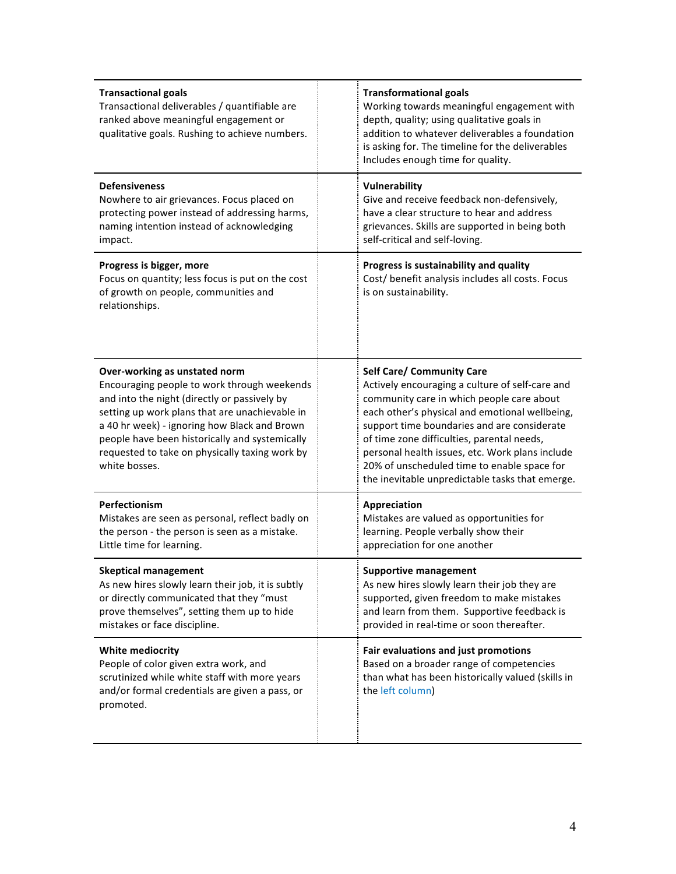| <b>Transactional goals</b><br>Transactional deliverables / quantifiable are<br>ranked above meaningful engagement or<br>qualitative goals. Rushing to achieve numbers.                                                                                                                                                                              | <b>Transformational goals</b><br>Working towards meaningful engagement with<br>depth, quality; using qualitative goals in<br>addition to whatever deliverables a foundation<br>is asking for. The timeline for the deliverables<br>Includes enough time for quality.                                                                                                                                                                 |
|-----------------------------------------------------------------------------------------------------------------------------------------------------------------------------------------------------------------------------------------------------------------------------------------------------------------------------------------------------|--------------------------------------------------------------------------------------------------------------------------------------------------------------------------------------------------------------------------------------------------------------------------------------------------------------------------------------------------------------------------------------------------------------------------------------|
| <b>Defensiveness</b><br>Nowhere to air grievances. Focus placed on<br>protecting power instead of addressing harms,<br>naming intention instead of acknowledging<br>impact.                                                                                                                                                                         | Vulnerability<br>Give and receive feedback non-defensively,<br>have a clear structure to hear and address<br>grievances. Skills are supported in being both<br>self-critical and self-loving.                                                                                                                                                                                                                                        |
| Progress is bigger, more<br>Focus on quantity; less focus is put on the cost<br>of growth on people, communities and<br>relationships.                                                                                                                                                                                                              | Progress is sustainability and quality<br>Cost/ benefit analysis includes all costs. Focus<br>is on sustainability.                                                                                                                                                                                                                                                                                                                  |
| Over-working as unstated norm<br>Encouraging people to work through weekends<br>and into the night (directly or passively by<br>setting up work plans that are unachievable in<br>a 40 hr week) - ignoring how Black and Brown<br>people have been historically and systemically<br>requested to take on physically taxing work by<br>white bosses. | <b>Self Care/ Community Care</b><br>Actively encouraging a culture of self-care and<br>community care in which people care about<br>each other's physical and emotional wellbeing,<br>support time boundaries and are considerate<br>of time zone difficulties, parental needs,<br>personal health issues, etc. Work plans include<br>20% of unscheduled time to enable space for<br>the inevitable unpredictable tasks that emerge. |
| Perfectionism<br>Mistakes are seen as personal, reflect badly on<br>the person - the person is seen as a mistake.<br>Little time for learning.                                                                                                                                                                                                      | Appreciation<br>Mistakes are valued as opportunities for<br>learning. People verbally show their<br>appreciation for one another                                                                                                                                                                                                                                                                                                     |
| <b>Skeptical management</b><br>As new hires slowly learn their job, it is subtly<br>or directly communicated that they "must<br>prove themselves", setting them up to hide<br>mistakes or face discipline.                                                                                                                                          | <b>Supportive management</b><br>As new hires slowly learn their job they are<br>supported, given freedom to make mistakes<br>and learn from them. Supportive feedback is<br>provided in real-time or soon thereafter.                                                                                                                                                                                                                |
| <b>White mediocrity</b><br>People of color given extra work, and<br>scrutinized while white staff with more years<br>and/or formal credentials are given a pass, or<br>promoted.                                                                                                                                                                    | Fair evaluations and just promotions<br>Based on a broader range of competencies<br>than what has been historically valued (skills in<br>the left column)                                                                                                                                                                                                                                                                            |